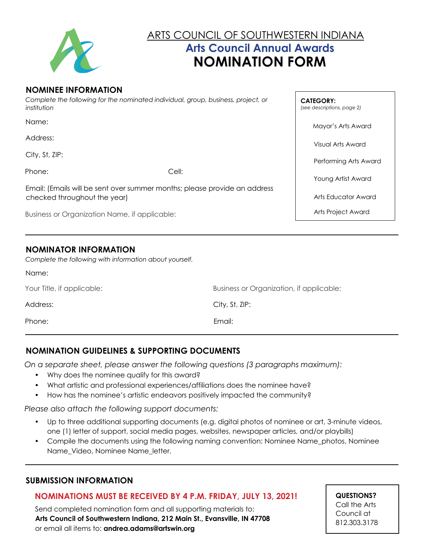

# ARTS COUNCIL OF SOUTHWESTERN INDIANA **Arts Council Annual Awards NOMINATION FORM**

#### **NOMINEE INFORMATION**

*Complete the following for the nominated individual, group, business, project, or institution*

Name:

Address:

City, St, ZIP:

Phone: Cell:

Name:

Email: (Emails will be sent over summer months; please provide an address checked throughout the year)

Business or Organization Name, if applicable:

## **NOMINATOR INFORMATION**

*Complete the following with information about yourself.*

| Your Title, if applicable: | Business or Organization, if applicable: |
|----------------------------|------------------------------------------|
| Address:                   | City, St, ZIP:                           |
| Phone:                     | Email:                                   |

## **NOMINATION GUIDELINES & SUPPORTING DOCUMENTS**

*On a separate sheet, please answer the following questions (3 paragraphs maximum):*

- Why does the nominee qualify for this award?
- What artistic and professional experiences/affiliations does the nominee have?
- How has the nominee's artistic endeavors positively impacted the community?

*Please also attach the following support documents:*

- Up to three additional supporting documents (e.g. digital photos of nominee or art, 3-minute videos, one (1) letter of support, social media pages, websites, newspaper articles, and/or playbills)
- Compile the documents using the following naming convention: Nominee Name\_photos, Nominee Name\_Video, Nominee Name\_letter.

#### **SUBMISSION INFORMATION**

#### **NOMINATIONS MUST BE RECEIVED BY 4 P.M. FRIDAY, JULY 13, 2021!**

 Send completed nomination form and all supporting materials to:  **Arts Council of Southwestern Indiana, 212 Main St., Evansville, IN 47708** or email all items to: **andrea.adams@artswin.org**

**QUESTIONS?** Call the Arts Council at 812.303.3178

**CATEGORY:**  *(see descriptions, page 2)*

Mayor's Arts Award

Visual Arts Award

Performing Arts Award

Young Artist Award

Arts Educator Award

Arts Project Award